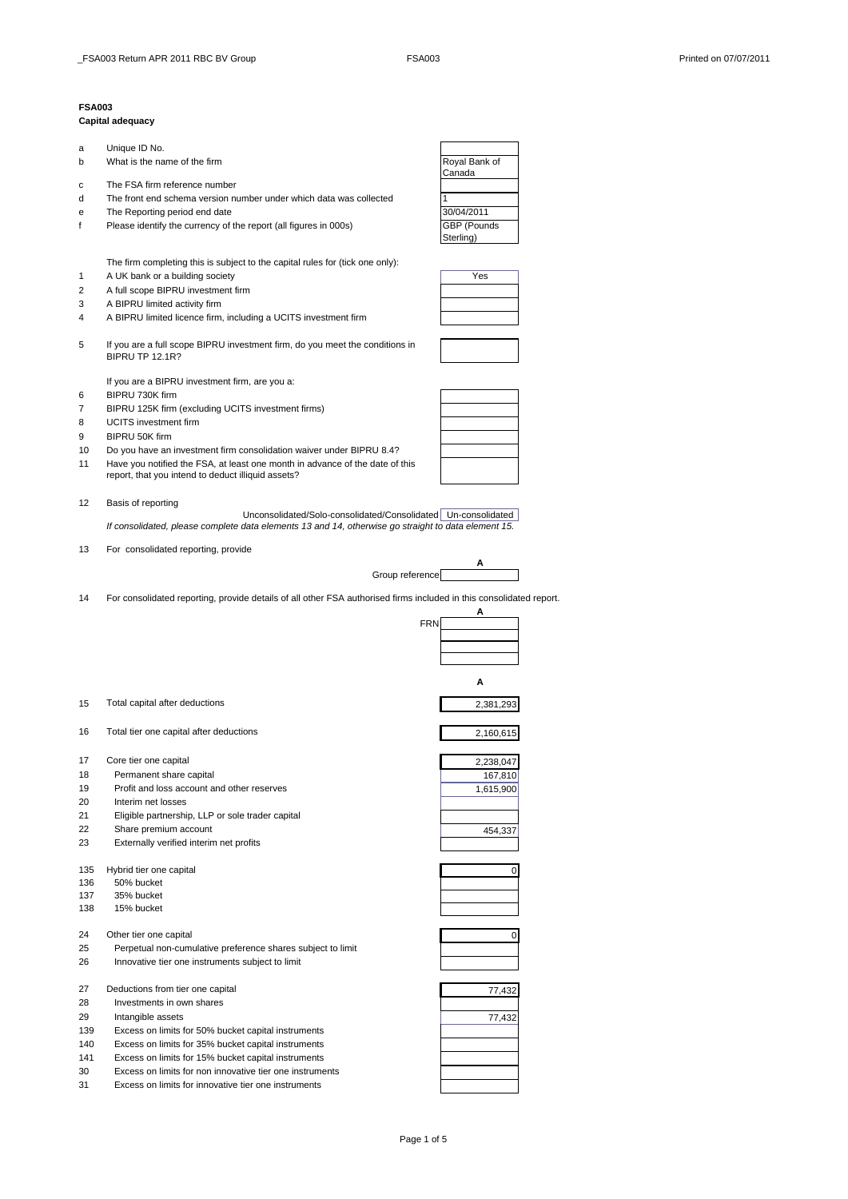## **FSA003**

## **Capital adequacy**

- a Unique ID No. b What is the name of the firm **Royal Bank of The Structure Control** Royal Bank of
- c The FSA firm reference number
- d The front end schema version number under which data was collected 1
- 
- e The Reporting period end date<br>
f Please identify the currency of the report (all figures in 000s) **30/04/2011** f Please identify the currency of the report (all figures in 000s)

The firm completing this is subject to the capital rules for (tick one only):

- 1 A UK bank or a building society Yes
- 2 A full scope BIPRU investment firm
- 3 A BIPRU limited activity firm
- 4 A BIPRU limited licence firm, including a UCITS investment firm
- 5 If you are a full scope BIPRU investment firm, do you meet the conditions in BIPRU TP 12.1R?

If you are a BIPRU investment firm, are you a:

- 6 BIPRU 730K firm
- 7 BIPRU 125K firm (excluding UCITS investment firms)
- 8 UCITS investment firm
- 9 BIPRU 50K firm
- 10 Do you have an investment firm consolidation waiver under BIPRU 8.4?
- 11 Have you notified the FSA, at least one month in advance of the date of this report, that you intend to deduct illiquid assets?

12 Basis of reporting

Unconsolidated/Solo-consolidated/Consolidated Un-consolidated *If consolidated, please complete data elements 13 and 14, otherwise go straight to data element 15.*

13 For consolidated reporting, provide



14 For consolidated reporting, provide details of all other FSA authorised firms included in this consolidated report.

|     |                                                             |            | A           |
|-----|-------------------------------------------------------------|------------|-------------|
|     |                                                             | <b>FRN</b> |             |
|     |                                                             |            |             |
|     |                                                             |            |             |
|     |                                                             |            |             |
|     |                                                             |            | А           |
| 15  | Total capital after deductions                              |            | 2,381,293   |
| 16  | Total tier one capital after deductions                     |            | 2,160,615   |
| 17  | Core tier one capital                                       |            | 2,238,047   |
| 18  | Permanent share capital                                     |            | 167,810     |
| 19  | Profit and loss account and other reserves                  |            | 1,615,900   |
| 20  | Interim net losses                                          |            |             |
| 21  | Eligible partnership, LLP or sole trader capital            |            |             |
| 22  | Share premium account                                       |            | 454,337     |
| 23  | Externally verified interim net profits                     |            |             |
| 135 | Hybrid tier one capital                                     |            | $\mathbf 0$ |
| 136 | 50% bucket                                                  |            |             |
| 137 | 35% bucket                                                  |            |             |
| 138 | 15% bucket                                                  |            |             |
| 24  | Other tier one capital                                      |            | 0           |
| 25  | Perpetual non-cumulative preference shares subject to limit |            |             |
| 26  | Innovative tier one instruments subject to limit            |            |             |
| 27  | Deductions from tier one capital                            |            | 77,432      |
| 28  | Investments in own shares                                   |            |             |
| 29  | Intangible assets                                           |            | 77,432      |
| 139 | Excess on limits for 50% bucket capital instruments         |            |             |
| 140 | Excess on limits for 35% bucket capital instruments         |            |             |
| 141 | Excess on limits for 15% bucket capital instruments         |            |             |
| 30  | Excess on limits for non innovative tier one instruments    |            |             |
| 31  | Excess on limits for innovative tier one instruments        |            |             |





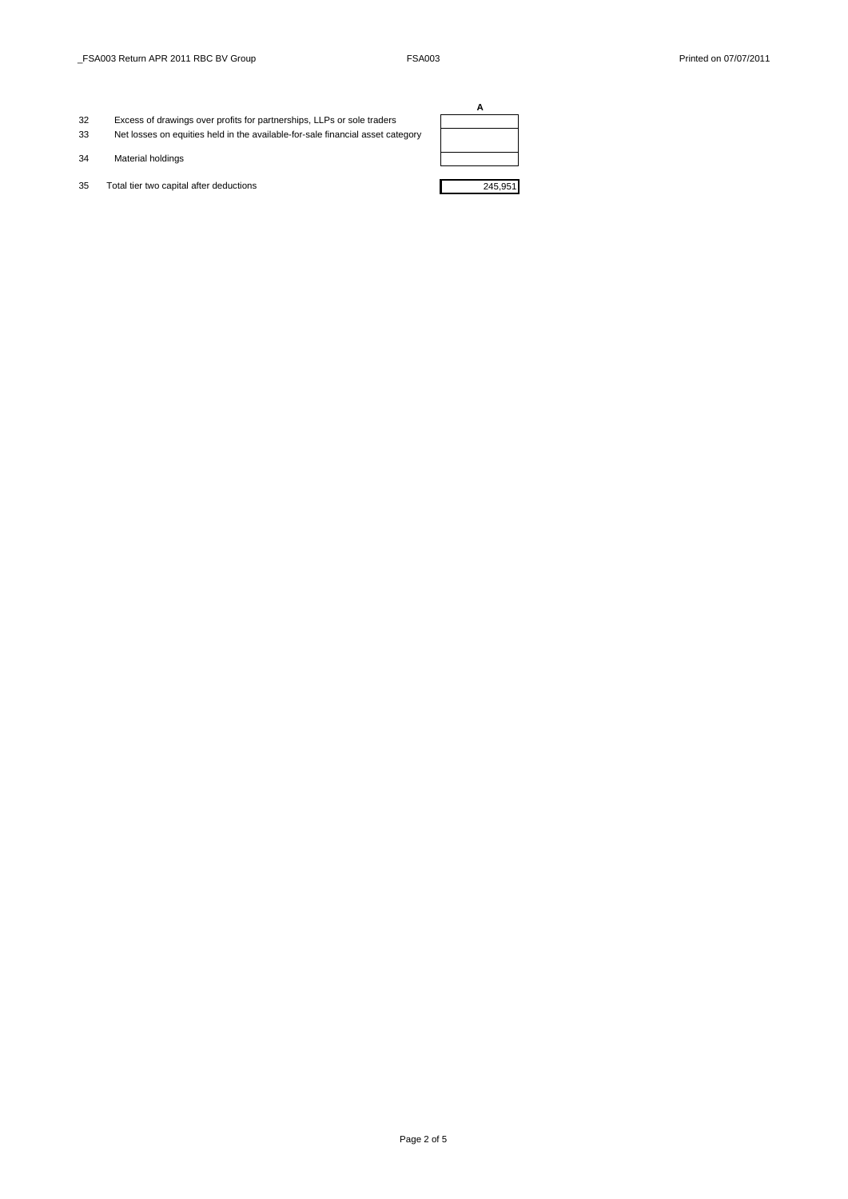- 32 Excess of drawings over profits for partnerships, LLPs or sole traders 33 Net losses on equities held in the available-for-sale financial asset category
- 34 Material holdings
- 35 Total tier two capital after deductions 245,951

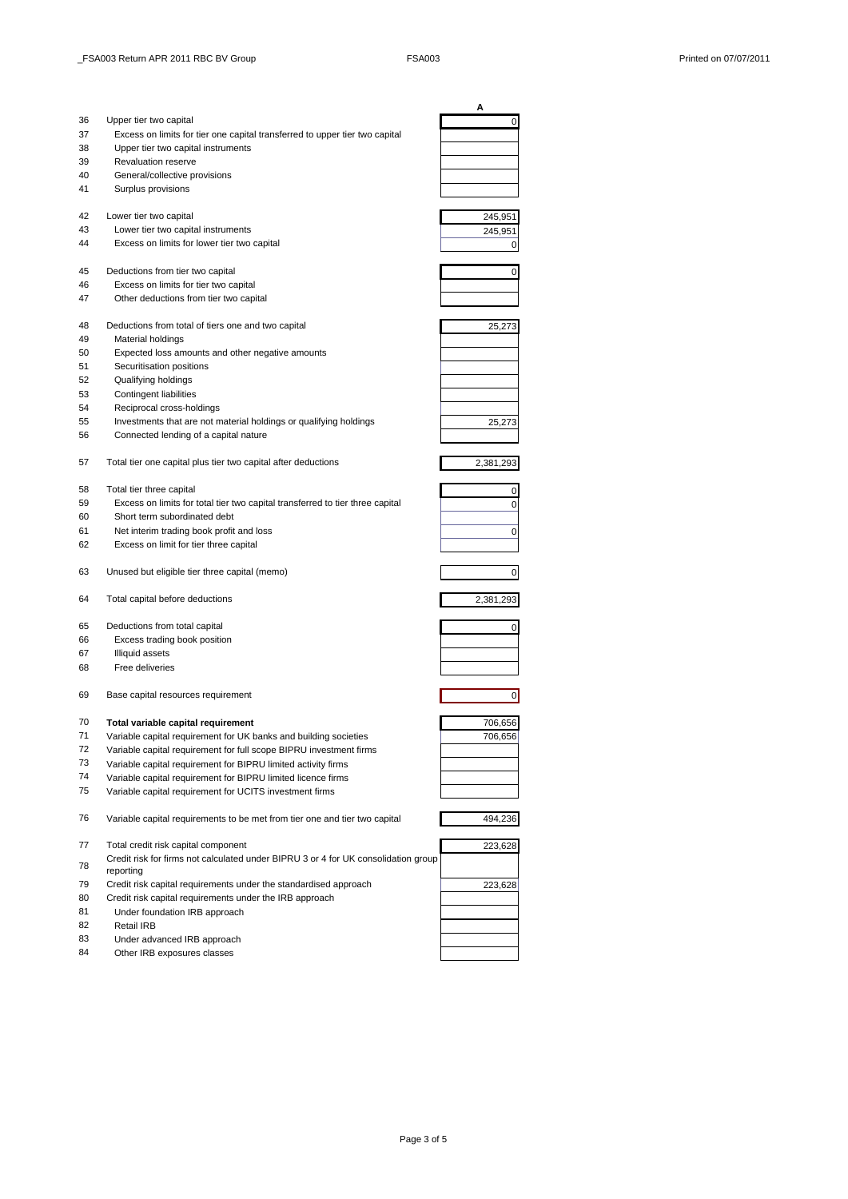|    |                                                                                    | Α              |
|----|------------------------------------------------------------------------------------|----------------|
| 36 | Upper tier two capital                                                             | 0              |
| 37 | Excess on limits for tier one capital transferred to upper tier two capital        |                |
| 38 | Upper tier two capital instruments                                                 |                |
| 39 | <b>Revaluation reserve</b>                                                         |                |
| 40 | General/collective provisions                                                      |                |
| 41 | Surplus provisions                                                                 |                |
|    |                                                                                    |                |
| 42 | Lower tier two capital                                                             | 245,951        |
| 43 | Lower tier two capital instruments                                                 | 245,951        |
| 44 | Excess on limits for lower tier two capital                                        | 0              |
|    |                                                                                    |                |
| 45 | Deductions from tier two capital                                                   | 0              |
| 46 | Excess on limits for tier two capital                                              |                |
| 47 | Other deductions from tier two capital                                             |                |
|    |                                                                                    |                |
| 48 | Deductions from total of tiers one and two capital                                 | 25,273         |
| 49 | Material holdings                                                                  |                |
| 50 | Expected loss amounts and other negative amounts                                   |                |
| 51 | Securitisation positions                                                           |                |
| 52 | Qualifying holdings                                                                |                |
| 53 | <b>Contingent liabilities</b>                                                      |                |
| 54 | Reciprocal cross-holdings                                                          |                |
| 55 | Investments that are not material holdings or qualifying holdings                  | 25,273         |
| 56 | Connected lending of a capital nature                                              |                |
|    |                                                                                    |                |
| 57 | Total tier one capital plus tier two capital after deductions                      | 2,381,293      |
|    |                                                                                    |                |
| 58 | Total tier three capital                                                           | 0              |
| 59 | Excess on limits for total tier two capital transferred to tier three capital      | 0              |
| 60 | Short term subordinated debt                                                       |                |
| 61 | Net interim trading book profit and loss                                           | 0              |
| 62 | Excess on limit for tier three capital                                             |                |
|    |                                                                                    |                |
| 63 | Unused but eligible tier three capital (memo)                                      | 0              |
|    |                                                                                    |                |
| 64 | Total capital before deductions                                                    | 2,381,293      |
|    |                                                                                    |                |
| 65 | Deductions from total capital                                                      | 0              |
| 66 | Excess trading book position                                                       |                |
| 67 | <b>Illiquid assets</b>                                                             |                |
| 68 | Free deliveries                                                                    |                |
|    |                                                                                    |                |
| 69 | Base capital resources requirement                                                 | $\overline{0}$ |
|    |                                                                                    |                |
| 70 | Total variable capital requirement                                                 | 706,656        |
| 71 | Variable capital requirement for UK banks and building societies                   | 706,656        |
| 72 | Variable capital requirement for full scope BIPRU investment firms                 |                |
| 73 | Variable capital requirement for BIPRU limited activity firms                      |                |
| 74 | Variable capital requirement for BIPRU limited licence firms                       |                |
| 75 | Variable capital requirement for UCITS investment firms                            |                |
|    |                                                                                    |                |
| 76 | Variable capital requirements to be met from tier one and tier two capital         | 494,236        |
|    |                                                                                    |                |
| 77 | Total credit risk capital component                                                | 223,628        |
|    | Credit risk for firms not calculated under BIPRU 3 or 4 for UK consolidation group |                |
| 78 | reporting                                                                          |                |
| 79 | Credit risk capital requirements under the standardised approach                   | 223,628        |
| 80 | Credit risk capital requirements under the IRB approach                            |                |
| 81 | Under foundation IRB approach                                                      |                |
| 82 | Retail IRB                                                                         |                |
| 83 | Under advanced IRB approach                                                        |                |
| 84 | Other IRB exposures classes                                                        |                |
|    |                                                                                    |                |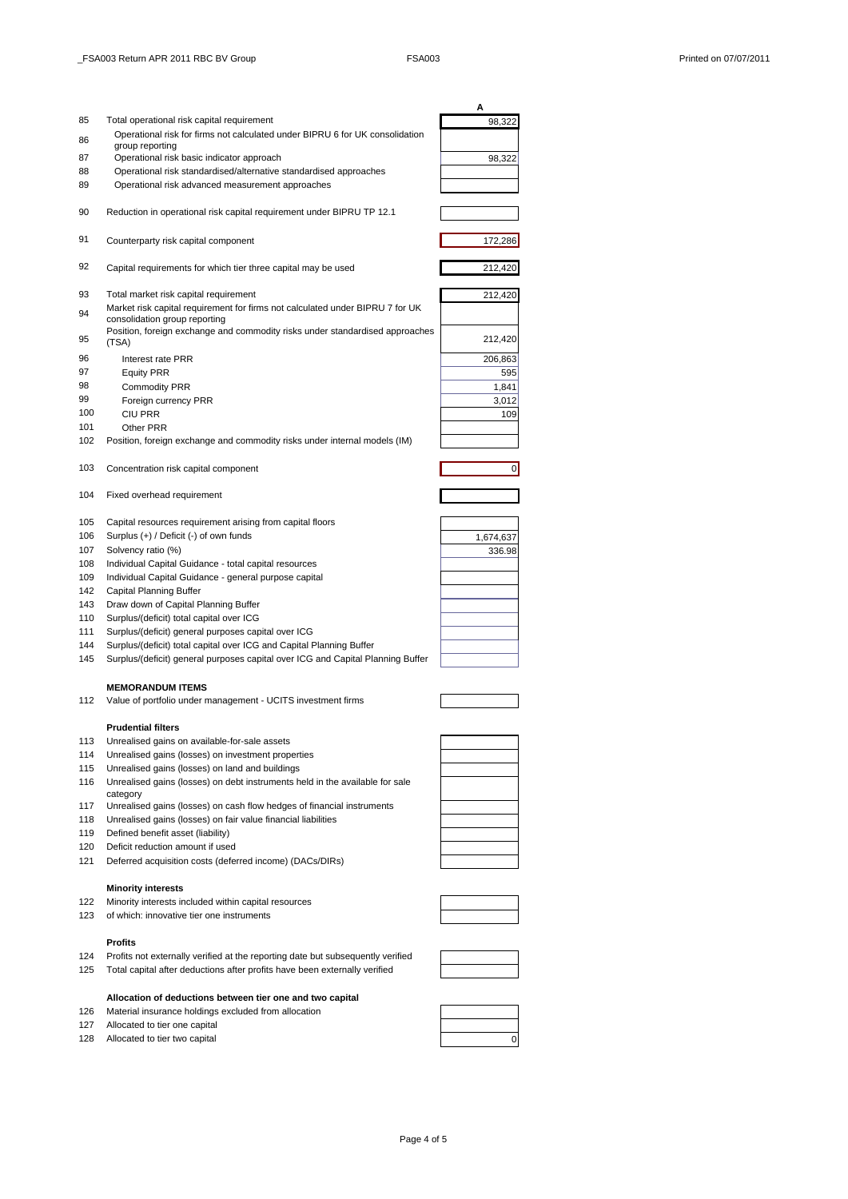|            |                                                                                          | Α         |
|------------|------------------------------------------------------------------------------------------|-----------|
| 85         | Total operational risk capital requirement                                               | 98,322    |
| 86         | Operational risk for firms not calculated under BIPRU 6 for UK consolidation             |           |
| 87         | group reporting<br>Operational risk basic indicator approach                             | 98,322    |
| 88         | Operational risk standardised/alternative standardised approaches                        |           |
| 89         | Operational risk advanced measurement approaches                                         |           |
|            |                                                                                          |           |
| 90         | Reduction in operational risk capital requirement under BIPRU TP 12.1                    |           |
| 91         | Counterparty risk capital component                                                      | 172,286   |
| 92         | Capital requirements for which tier three capital may be used                            | 212,420   |
| 93         | Total market risk capital requirement                                                    | 212,420   |
|            | Market risk capital requirement for firms not calculated under BIPRU 7 for UK            |           |
| 94         | consolidation group reporting                                                            |           |
| 95         | Position, foreign exchange and commodity risks under standardised approaches<br>(TSA)    | 212,420   |
| 96         | Interest rate PRR                                                                        | 206,863   |
| 97         | <b>Equity PRR</b>                                                                        | 595       |
| 98         | <b>Commodity PRR</b>                                                                     | 1.841     |
| 99         | Foreign currency PRR                                                                     | 3,012     |
| 100        | CIU PRR                                                                                  | 109       |
| 101        | Other PRR                                                                                |           |
| 102        | Position, foreign exchange and commodity risks under internal models (IM)                |           |
| 103        | Concentration risk capital component                                                     | 0         |
|            |                                                                                          |           |
| 104        | Fixed overhead requirement                                                               |           |
| 105        | Capital resources requirement arising from capital floors                                |           |
| 106        | Surplus (+) / Deficit (-) of own funds                                                   | 1,674,637 |
| 107        | Solvency ratio (%)                                                                       | 336.98    |
| 108        | Individual Capital Guidance - total capital resources                                    |           |
| 109        | Individual Capital Guidance - general purpose capital                                    |           |
| 142        | Capital Planning Buffer                                                                  |           |
| 143<br>110 | Draw down of Capital Planning Buffer<br>Surplus/(deficit) total capital over ICG         |           |
| 111        | Surplus/(deficit) general purposes capital over ICG                                      |           |
| 144        | Surplus/(deficit) total capital over ICG and Capital Planning Buffer                     |           |
| 145        | Surplus/(deficit) general purposes capital over ICG and Capital Planning Buffer          |           |
|            | <b>MEMORANDUM ITEMS</b>                                                                  |           |
| 112        | Value of portfolio under management - UCITS investment firms                             |           |
|            | <b>Prudential filters</b>                                                                |           |
| 113        | Unrealised gains on available-for-sale assets                                            |           |
| 114        | Unrealised gains (losses) on investment properties                                       |           |
| 115        | Unrealised gains (losses) on land and buildings                                          |           |
| 116        | Unrealised gains (losses) on debt instruments held in the available for sale<br>category |           |
| 117        | Unrealised gains (losses) on cash flow hedges of financial instruments                   |           |
| 118        | Unrealised gains (losses) on fair value financial liabilities                            |           |
| 119        | Defined benefit asset (liability)                                                        |           |
| 120        | Deficit reduction amount if used                                                         |           |
| 121        | Deferred acquisition costs (deferred income) (DACs/DIRs)                                 |           |
|            | <b>Minority interests</b>                                                                |           |
| 122        | Minority interests included within capital resources                                     |           |
| 123        | of which: innovative tier one instruments                                                |           |
|            | <b>Profits</b>                                                                           |           |
| 124        | Profits not externally verified at the reporting date but subsequently verified          |           |
| 125        | Total capital after deductions after profits have been externally verified               |           |

## **Allocation of deductions between tier one and two capital** 126 Material insurance holdings excluded from allocation

- 127 Allocated to tier one capital
- 128 Allocated to tier two capital 0





Page 4 of 5